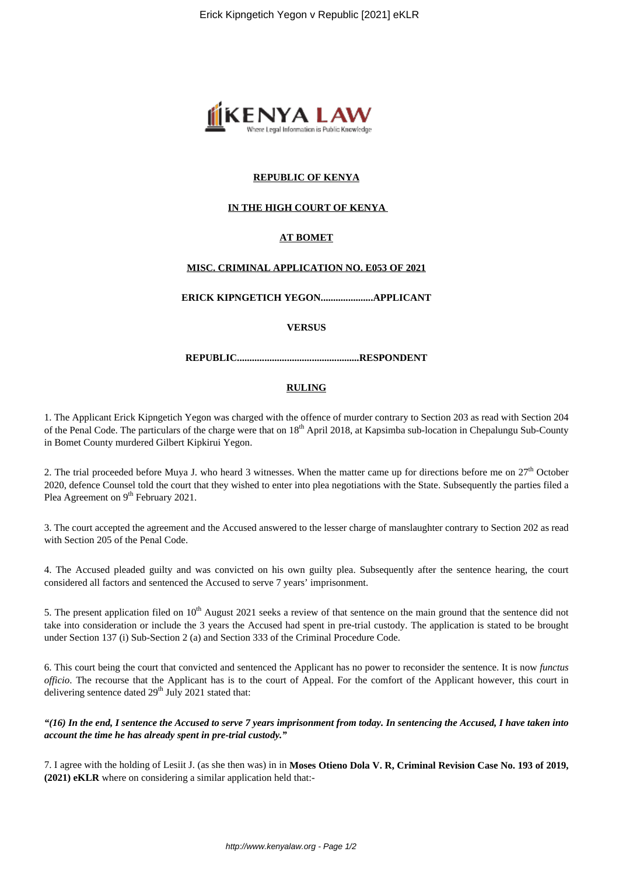

# **REPUBLIC OF KENYA**

# **IN THE HIGH COURT OF KENYA**

# **AT BOMET**

## **MISC. CRIMINAL APPLICATION NO. E053 OF 2021**

**ERICK KIPNGETICH YEGON.....................APPLICANT**

#### **VERSUS**

**REPUBLIC.................................................RESPONDENT**

#### **RULING**

1. The Applicant Erick Kipngetich Yegon was charged with the offence of murder contrary to Section 203 as read with Section 204 of the Penal Code. The particulars of the charge were that on  $18<sup>th</sup>$  April 2018, at Kapsimba sub-location in Chepalungu Sub-County in Bomet County murdered Gilbert Kipkirui Yegon.

2. The trial proceeded before Muya J. who heard 3 witnesses. When the matter came up for directions before me on  $27<sup>th</sup>$  October 2020, defence Counsel told the court that they wished to enter into plea negotiations with the State. Subsequently the parties filed a Plea Agreement on 9<sup>th</sup> February 2021.

3. The court accepted the agreement and the Accused answered to the lesser charge of manslaughter contrary to Section 202 as read with Section 205 of the Penal Code.

4. The Accused pleaded guilty and was convicted on his own guilty plea. Subsequently after the sentence hearing, the court considered all factors and sentenced the Accused to serve 7 years' imprisonment.

5. The present application filed on  $10<sup>th</sup>$  August 2021 seeks a review of that sentence on the main ground that the sentence did not take into consideration or include the 3 years the Accused had spent in pre-trial custody. The application is stated to be brought under Section 137 (i) Sub-Section 2 (a) and Section 333 of the Criminal Procedure Code.

6. This court being the court that convicted and sentenced the Applicant has no power to reconsider the sentence. It is now *functus officio*. The recourse that the Applicant has is to the court of Appeal. For the comfort of the Applicant however, this court in delivering sentence dated  $29<sup>th</sup>$  July 2021 stated that:

*"(16) In the end, I sentence the Accused to serve 7 years imprisonment from today. In sentencing the Accused, I have taken into account the time he has already spent in pre-trial custody."*

7. I agree with the holding of Lesiit J. (as she then was) in in **Moses Otieno Dola V. R, Criminal Revision Case No. 193 of 2019, (2021) eKLR** where on considering a similar application held that:-